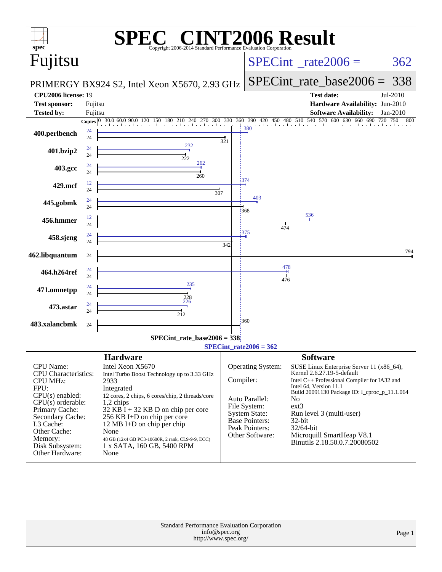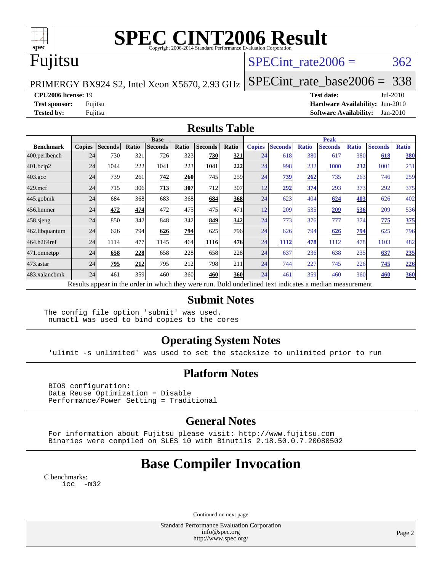

# **[SPEC CINT2006 Result](http://www.spec.org/auto/cpu2006/Docs/result-fields.html#SPECCINT2006Result)**

# Fujitsu

## SPECint rate $2006 = 362$

[SPECint\\_rate\\_base2006 =](http://www.spec.org/auto/cpu2006/Docs/result-fields.html#SPECintratebase2006) 338

PRIMERGY BX924 S2, Intel Xeon X5670, 2.93 GHz

**[CPU2006 license:](http://www.spec.org/auto/cpu2006/Docs/result-fields.html#CPU2006license)** 19 **[Test date:](http://www.spec.org/auto/cpu2006/Docs/result-fields.html#Testdate)** Jul-2010

**[Test sponsor:](http://www.spec.org/auto/cpu2006/Docs/result-fields.html#Testsponsor)** Fujitsu **[Hardware Availability:](http://www.spec.org/auto/cpu2006/Docs/result-fields.html#HardwareAvailability)** Jun-2010 **[Tested by:](http://www.spec.org/auto/cpu2006/Docs/result-fields.html#Testedby)** Fujitsu **[Software Availability:](http://www.spec.org/auto/cpu2006/Docs/result-fields.html#SoftwareAvailability)** Jan-2010

#### **[Results Table](http://www.spec.org/auto/cpu2006/Docs/result-fields.html#ResultsTable)**

|                    | <b>Base</b>   |                |       |                |            |                                                                                                          |            |               | <b>Peak</b>    |              |                |              |                |              |  |
|--------------------|---------------|----------------|-------|----------------|------------|----------------------------------------------------------------------------------------------------------|------------|---------------|----------------|--------------|----------------|--------------|----------------|--------------|--|
| <b>Benchmark</b>   | <b>Copies</b> | <b>Seconds</b> | Ratio | <b>Seconds</b> | Ratio      | <b>Seconds</b>                                                                                           | Ratio      | <b>Copies</b> | <b>Seconds</b> | <b>Ratio</b> | <b>Seconds</b> | <b>Ratio</b> | <b>Seconds</b> | <b>Ratio</b> |  |
| 400.perlbench      | 24            | 730            | 321   | 726            | 323        | 730                                                                                                      | 321        | 24            | 618            | 380          | 617            | 380          | 618            | 380          |  |
| 401.bzip2          | 24            | 1044           | 222   | 1041           | 223        | 1041                                                                                                     | 222        | 24            | 998            | 232          | <b>1000</b>    | 232          | 1001           | 231          |  |
| $403.\mathrm{gcc}$ | 24            | 739            | 261   | 742            | <b>260</b> | 745                                                                                                      | 259        | 24            | 739            | 262          | 735            | 263          | 746            | 259          |  |
| $429$ .mcf         | 24            | 715            | 306   | 713            | 307        | 712                                                                                                      | 307        | 12            | 292            | 374          | 293            | 373          | 292            | 375          |  |
| $445$ .gobmk       | 24            | 684            | 368   | 683            | 368        | 684                                                                                                      | 368        | 24            | 623            | 404          | 624            | 403          | 626            | 402          |  |
| 456.hmmer          | 24            | 472            | 474   | 472            | 475        | 475                                                                                                      | 471        | 12            | 209            | 535          | 209            | 536          | 209            | 536          |  |
| $458$ .sjeng       | 24            | 850            | 342   | 848            | 342        | 849                                                                                                      | 342        | 24            | 773            | 376          | 777            | 374          | 775            | 375          |  |
| 462.libquantum     | 24            | 626            | 794   | 626            | 794        | 625                                                                                                      | 796        | 24            | 626            | 794          | 626            | <u>794</u>   | 625            | 796          |  |
| 464.h264ref        | 24            | 1114           | 477   | 1145           | 464        | 1116                                                                                                     | 476        | 24            | 1112           | 478          | 1112           | 478          | 1103           | 482          |  |
| 471.omnetpp        | 24            | 658            | 228   | 658            | 228        | 658                                                                                                      | 228        | 24            | 637            | 236          | 638            | 235          | 637            | 235          |  |
| 473.astar          | 24            | 795            | 212   | 795            | 212        | 798                                                                                                      | 211        | 24            | 744            | 227          | 745            | 226          | 745            | 226          |  |
| 483.xalancbmk      | 24            | 461            | 359   | 460            | 360        | 460                                                                                                      | <b>360</b> | 24            | 461            | 359          | 460            | 360          | 460            | 360          |  |
|                    |               |                |       |                |            | Results appear in the order in which they were run. Bold underlined text indicates a median measurement. |            |               |                |              |                |              |                |              |  |

#### **[Submit Notes](http://www.spec.org/auto/cpu2006/Docs/result-fields.html#SubmitNotes)**

The config file option 'submit' was used. numactl was used to bind copies to the cores

## **[Operating System Notes](http://www.spec.org/auto/cpu2006/Docs/result-fields.html#OperatingSystemNotes)**

'ulimit -s unlimited' was used to set the stacksize to unlimited prior to run

## **[Platform Notes](http://www.spec.org/auto/cpu2006/Docs/result-fields.html#PlatformNotes)**

 BIOS configuration: Data Reuse Optimization = Disable Performance/Power Setting = Traditional

## **[General Notes](http://www.spec.org/auto/cpu2006/Docs/result-fields.html#GeneralNotes)**

 For information about Fujitsu please visit: <http://www.fujitsu.com> Binaries were compiled on SLES 10 with Binutils 2.18.50.0.7.20080502

## **[Base Compiler Invocation](http://www.spec.org/auto/cpu2006/Docs/result-fields.html#BaseCompilerInvocation)**

[C benchmarks](http://www.spec.org/auto/cpu2006/Docs/result-fields.html#Cbenchmarks): [icc -m32](http://www.spec.org/cpu2006/results/res2010q3/cpu2006-20100813-12900.flags.html#user_CCbase_intel_icc_32bit_5ff4a39e364c98233615fdd38438c6f2)

Continued on next page

Standard Performance Evaluation Corporation [info@spec.org](mailto:info@spec.org) <http://www.spec.org/>

Page 2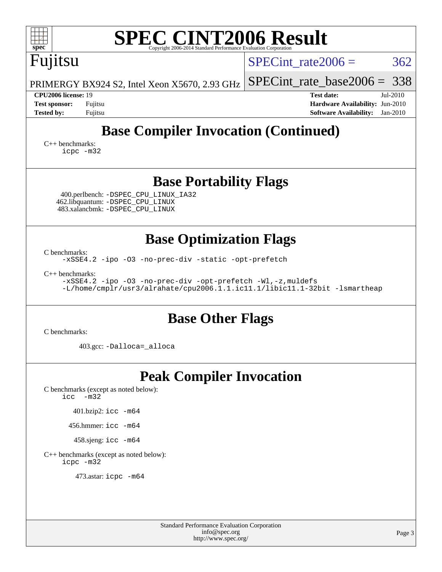| <b>SPEC CINT2006 Result</b><br>$spec^*$<br>Copyright 2006-2014 Standard Performance Evaluation Corporation                                                                                                                                                                    |                                                                                                               |  |  |  |  |  |  |
|-------------------------------------------------------------------------------------------------------------------------------------------------------------------------------------------------------------------------------------------------------------------------------|---------------------------------------------------------------------------------------------------------------|--|--|--|--|--|--|
| Fujitsu                                                                                                                                                                                                                                                                       | 362<br>$SPECint rate 2006 =$                                                                                  |  |  |  |  |  |  |
| PRIMERGY BX924 S2, Intel Xeon X5670, 2.93 GHz                                                                                                                                                                                                                                 | 338<br>$SPECint_rate_base2006 =$                                                                              |  |  |  |  |  |  |
| <b>CPU2006 license: 19</b><br><b>Test sponsor:</b><br>Fujitsu<br><b>Tested by:</b><br>Fujitsu                                                                                                                                                                                 | <b>Test date:</b><br>Jul-2010<br>Hardware Availability: Jun-2010<br><b>Software Availability:</b><br>Jan-2010 |  |  |  |  |  |  |
| <b>Base Compiler Invocation (Continued)</b><br>$C_{++}$ benchmarks:<br>icpc -m32                                                                                                                                                                                              |                                                                                                               |  |  |  |  |  |  |
| <b>Base Portability Flags</b><br>400.perlbench: -DSPEC_CPU_LINUX_IA32<br>462.libquantum: -DSPEC_CPU_LINUX<br>483.xalancbmk: -DSPEC_CPU_LINUX                                                                                                                                  |                                                                                                               |  |  |  |  |  |  |
| <b>Base Optimization Flags</b><br>C benchmarks:<br>-xSSE4.2 -ipo -03 -no-prec-div -static -opt-prefetch<br>$C_{++}$ benchmarks:<br>-xSSE4.2 -ipo -03 -no-prec-div -opt-prefetch -Wl,-z, muldefs<br>-L/home/cmplr/usr3/alrahate/cpu2006.1.1.ic11.1/libic11.1-32bit -lsmartheap |                                                                                                               |  |  |  |  |  |  |
| <b>Base Other Flags</b><br>C benchmarks:                                                                                                                                                                                                                                      |                                                                                                               |  |  |  |  |  |  |
| 403.gcc: -Dalloca=_alloca                                                                                                                                                                                                                                                     |                                                                                                               |  |  |  |  |  |  |
| <b>Peak Compiler Invocation</b><br>C benchmarks (except as noted below):<br>icc<br>$-m32$<br>401.bzip2: icc -m64<br>456.hmmer: icc -m64<br>458.sjeng: icc -m64<br>C++ benchmarks (except as noted below):<br>icpc -m32<br>473.astar: icpc -m64                                |                                                                                                               |  |  |  |  |  |  |
|                                                                                                                                                                                                                                                                               |                                                                                                               |  |  |  |  |  |  |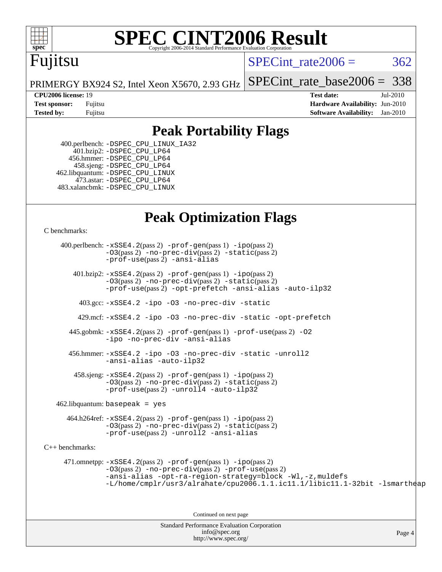

# **[SPEC CINT2006 Result](http://www.spec.org/auto/cpu2006/Docs/result-fields.html#SPECCINT2006Result)**

## Fujitsu

SPECint rate $2006 = 362$ 

[SPECint\\_rate\\_base2006 =](http://www.spec.org/auto/cpu2006/Docs/result-fields.html#SPECintratebase2006) 338

PRIMERGY BX924 S2, Intel Xeon X5670, 2.93 GHz

**[CPU2006 license:](http://www.spec.org/auto/cpu2006/Docs/result-fields.html#CPU2006license)** 19 **[Test date:](http://www.spec.org/auto/cpu2006/Docs/result-fields.html#Testdate)** Jul-2010 **[Test sponsor:](http://www.spec.org/auto/cpu2006/Docs/result-fields.html#Testsponsor)** Fujitsu **[Hardware Availability:](http://www.spec.org/auto/cpu2006/Docs/result-fields.html#HardwareAvailability)** Jun-2010 **[Tested by:](http://www.spec.org/auto/cpu2006/Docs/result-fields.html#Testedby)** Fujitsu **[Software Availability:](http://www.spec.org/auto/cpu2006/Docs/result-fields.html#SoftwareAvailability)** Jan-2010

## **[Peak Portability Flags](http://www.spec.org/auto/cpu2006/Docs/result-fields.html#PeakPortabilityFlags)**

 400.perlbench: [-DSPEC\\_CPU\\_LINUX\\_IA32](http://www.spec.org/cpu2006/results/res2010q3/cpu2006-20100813-12900.flags.html#b400.perlbench_peakCPORTABILITY_DSPEC_CPU_LINUX_IA32) 401.bzip2: [-DSPEC\\_CPU\\_LP64](http://www.spec.org/cpu2006/results/res2010q3/cpu2006-20100813-12900.flags.html#suite_peakCPORTABILITY401_bzip2_DSPEC_CPU_LP64) 456.hmmer: [-DSPEC\\_CPU\\_LP64](http://www.spec.org/cpu2006/results/res2010q3/cpu2006-20100813-12900.flags.html#suite_peakCPORTABILITY456_hmmer_DSPEC_CPU_LP64) 458.sjeng: [-DSPEC\\_CPU\\_LP64](http://www.spec.org/cpu2006/results/res2010q3/cpu2006-20100813-12900.flags.html#suite_peakCPORTABILITY458_sjeng_DSPEC_CPU_LP64) 462.libquantum: [-DSPEC\\_CPU\\_LINUX](http://www.spec.org/cpu2006/results/res2010q3/cpu2006-20100813-12900.flags.html#b462.libquantum_peakCPORTABILITY_DSPEC_CPU_LINUX) 473.astar: [-DSPEC\\_CPU\\_LP64](http://www.spec.org/cpu2006/results/res2010q3/cpu2006-20100813-12900.flags.html#suite_peakCXXPORTABILITY473_astar_DSPEC_CPU_LP64) 483.xalancbmk: [-DSPEC\\_CPU\\_LINUX](http://www.spec.org/cpu2006/results/res2010q3/cpu2006-20100813-12900.flags.html#b483.xalancbmk_peakCXXPORTABILITY_DSPEC_CPU_LINUX)

## **[Peak Optimization Flags](http://www.spec.org/auto/cpu2006/Docs/result-fields.html#PeakOptimizationFlags)**

[C benchmarks](http://www.spec.org/auto/cpu2006/Docs/result-fields.html#Cbenchmarks):

Standard Performance Evaluation Corporation [info@spec.org](mailto:info@spec.org) <http://www.spec.org/> Page 4 400.perlbench: [-xSSE4.2](http://www.spec.org/cpu2006/results/res2010q3/cpu2006-20100813-12900.flags.html#user_peakPASS2_CFLAGSPASS2_LDCFLAGS400_perlbench_f-xSSE42_f91528193cf0b216347adb8b939d4107)(pass 2) [-prof-gen](http://www.spec.org/cpu2006/results/res2010q3/cpu2006-20100813-12900.flags.html#user_peakPASS1_CFLAGSPASS1_LDCFLAGS400_perlbench_prof_gen_e43856698f6ca7b7e442dfd80e94a8fc)(pass 1) [-ipo](http://www.spec.org/cpu2006/results/res2010q3/cpu2006-20100813-12900.flags.html#user_peakPASS2_CFLAGSPASS2_LDCFLAGS400_perlbench_f-ipo)(pass 2) [-O3](http://www.spec.org/cpu2006/results/res2010q3/cpu2006-20100813-12900.flags.html#user_peakPASS2_CFLAGSPASS2_LDCFLAGS400_perlbench_f-O3)(pass 2) [-no-prec-div](http://www.spec.org/cpu2006/results/res2010q3/cpu2006-20100813-12900.flags.html#user_peakPASS2_CFLAGSPASS2_LDCFLAGS400_perlbench_f-no-prec-div)(pass 2) [-static](http://www.spec.org/cpu2006/results/res2010q3/cpu2006-20100813-12900.flags.html#user_peakPASS2_CFLAGSPASS2_LDCFLAGS400_perlbench_f-static)(pass 2) [-prof-use](http://www.spec.org/cpu2006/results/res2010q3/cpu2006-20100813-12900.flags.html#user_peakPASS2_CFLAGSPASS2_LDCFLAGS400_perlbench_prof_use_bccf7792157ff70d64e32fe3e1250b55)(pass 2) [-ansi-alias](http://www.spec.org/cpu2006/results/res2010q3/cpu2006-20100813-12900.flags.html#user_peakCOPTIMIZE400_perlbench_f-ansi-alias) 401.bzip2: [-xSSE4.2](http://www.spec.org/cpu2006/results/res2010q3/cpu2006-20100813-12900.flags.html#user_peakPASS2_CFLAGSPASS2_LDCFLAGS401_bzip2_f-xSSE42_f91528193cf0b216347adb8b939d4107)(pass 2) [-prof-gen](http://www.spec.org/cpu2006/results/res2010q3/cpu2006-20100813-12900.flags.html#user_peakPASS1_CFLAGSPASS1_LDCFLAGS401_bzip2_prof_gen_e43856698f6ca7b7e442dfd80e94a8fc)(pass 1) [-ipo](http://www.spec.org/cpu2006/results/res2010q3/cpu2006-20100813-12900.flags.html#user_peakPASS2_CFLAGSPASS2_LDCFLAGS401_bzip2_f-ipo)(pass 2) [-O3](http://www.spec.org/cpu2006/results/res2010q3/cpu2006-20100813-12900.flags.html#user_peakPASS2_CFLAGSPASS2_LDCFLAGS401_bzip2_f-O3)(pass 2) [-no-prec-div](http://www.spec.org/cpu2006/results/res2010q3/cpu2006-20100813-12900.flags.html#user_peakPASS2_CFLAGSPASS2_LDCFLAGS401_bzip2_f-no-prec-div)(pass 2) [-static](http://www.spec.org/cpu2006/results/res2010q3/cpu2006-20100813-12900.flags.html#user_peakPASS2_CFLAGSPASS2_LDCFLAGS401_bzip2_f-static)(pass 2) [-prof-use](http://www.spec.org/cpu2006/results/res2010q3/cpu2006-20100813-12900.flags.html#user_peakPASS2_CFLAGSPASS2_LDCFLAGS401_bzip2_prof_use_bccf7792157ff70d64e32fe3e1250b55)(pass 2) [-opt-prefetch](http://www.spec.org/cpu2006/results/res2010q3/cpu2006-20100813-12900.flags.html#user_peakCOPTIMIZE401_bzip2_f-opt-prefetch) [-ansi-alias](http://www.spec.org/cpu2006/results/res2010q3/cpu2006-20100813-12900.flags.html#user_peakCOPTIMIZE401_bzip2_f-ansi-alias) [-auto-ilp32](http://www.spec.org/cpu2006/results/res2010q3/cpu2006-20100813-12900.flags.html#user_peakCOPTIMIZE401_bzip2_f-auto-ilp32) 403.gcc: [-xSSE4.2](http://www.spec.org/cpu2006/results/res2010q3/cpu2006-20100813-12900.flags.html#user_peakCOPTIMIZE403_gcc_f-xSSE42_f91528193cf0b216347adb8b939d4107) [-ipo](http://www.spec.org/cpu2006/results/res2010q3/cpu2006-20100813-12900.flags.html#user_peakCOPTIMIZE403_gcc_f-ipo) [-O3](http://www.spec.org/cpu2006/results/res2010q3/cpu2006-20100813-12900.flags.html#user_peakCOPTIMIZE403_gcc_f-O3) [-no-prec-div](http://www.spec.org/cpu2006/results/res2010q3/cpu2006-20100813-12900.flags.html#user_peakCOPTIMIZE403_gcc_f-no-prec-div) [-static](http://www.spec.org/cpu2006/results/res2010q3/cpu2006-20100813-12900.flags.html#user_peakCOPTIMIZE403_gcc_f-static) 429.mcf: [-xSSE4.2](http://www.spec.org/cpu2006/results/res2010q3/cpu2006-20100813-12900.flags.html#user_peakCOPTIMIZE429_mcf_f-xSSE42_f91528193cf0b216347adb8b939d4107) [-ipo](http://www.spec.org/cpu2006/results/res2010q3/cpu2006-20100813-12900.flags.html#user_peakCOPTIMIZE429_mcf_f-ipo) [-O3](http://www.spec.org/cpu2006/results/res2010q3/cpu2006-20100813-12900.flags.html#user_peakCOPTIMIZE429_mcf_f-O3) [-no-prec-div](http://www.spec.org/cpu2006/results/res2010q3/cpu2006-20100813-12900.flags.html#user_peakCOPTIMIZE429_mcf_f-no-prec-div) [-static](http://www.spec.org/cpu2006/results/res2010q3/cpu2006-20100813-12900.flags.html#user_peakCOPTIMIZE429_mcf_f-static) [-opt-prefetch](http://www.spec.org/cpu2006/results/res2010q3/cpu2006-20100813-12900.flags.html#user_peakCOPTIMIZE429_mcf_f-opt-prefetch) 445.gobmk: [-xSSE4.2](http://www.spec.org/cpu2006/results/res2010q3/cpu2006-20100813-12900.flags.html#user_peakPASS2_CFLAGSPASS2_LDCFLAGS445_gobmk_f-xSSE42_f91528193cf0b216347adb8b939d4107)(pass 2) [-prof-gen](http://www.spec.org/cpu2006/results/res2010q3/cpu2006-20100813-12900.flags.html#user_peakPASS1_CFLAGSPASS1_LDCFLAGS445_gobmk_prof_gen_e43856698f6ca7b7e442dfd80e94a8fc)(pass 1) [-prof-use](http://www.spec.org/cpu2006/results/res2010q3/cpu2006-20100813-12900.flags.html#user_peakPASS2_CFLAGSPASS2_LDCFLAGS445_gobmk_prof_use_bccf7792157ff70d64e32fe3e1250b55)(pass 2) [-O2](http://www.spec.org/cpu2006/results/res2010q3/cpu2006-20100813-12900.flags.html#user_peakCOPTIMIZE445_gobmk_f-O2) [-ipo](http://www.spec.org/cpu2006/results/res2010q3/cpu2006-20100813-12900.flags.html#user_peakCOPTIMIZE445_gobmk_f-ipo) [-no-prec-div](http://www.spec.org/cpu2006/results/res2010q3/cpu2006-20100813-12900.flags.html#user_peakCOPTIMIZE445_gobmk_f-no-prec-div) [-ansi-alias](http://www.spec.org/cpu2006/results/res2010q3/cpu2006-20100813-12900.flags.html#user_peakCOPTIMIZE445_gobmk_f-ansi-alias) 456.hmmer: [-xSSE4.2](http://www.spec.org/cpu2006/results/res2010q3/cpu2006-20100813-12900.flags.html#user_peakCOPTIMIZE456_hmmer_f-xSSE42_f91528193cf0b216347adb8b939d4107) [-ipo](http://www.spec.org/cpu2006/results/res2010q3/cpu2006-20100813-12900.flags.html#user_peakCOPTIMIZE456_hmmer_f-ipo) [-O3](http://www.spec.org/cpu2006/results/res2010q3/cpu2006-20100813-12900.flags.html#user_peakCOPTIMIZE456_hmmer_f-O3) [-no-prec-div](http://www.spec.org/cpu2006/results/res2010q3/cpu2006-20100813-12900.flags.html#user_peakCOPTIMIZE456_hmmer_f-no-prec-div) [-static](http://www.spec.org/cpu2006/results/res2010q3/cpu2006-20100813-12900.flags.html#user_peakCOPTIMIZE456_hmmer_f-static) [-unroll2](http://www.spec.org/cpu2006/results/res2010q3/cpu2006-20100813-12900.flags.html#user_peakCOPTIMIZE456_hmmer_f-unroll_784dae83bebfb236979b41d2422d7ec2) [-ansi-alias](http://www.spec.org/cpu2006/results/res2010q3/cpu2006-20100813-12900.flags.html#user_peakCOPTIMIZE456_hmmer_f-ansi-alias) [-auto-ilp32](http://www.spec.org/cpu2006/results/res2010q3/cpu2006-20100813-12900.flags.html#user_peakCOPTIMIZE456_hmmer_f-auto-ilp32)  $458 \text{.}$  sjeng:  $-xSSE4$ .  $2(\text{pass 2})$  -prof-qen(pass 1) [-ipo](http://www.spec.org/cpu2006/results/res2010q3/cpu2006-20100813-12900.flags.html#user_peakPASS2_CFLAGSPASS2_LDCFLAGS458_sjeng_f-ipo)(pass 2) [-O3](http://www.spec.org/cpu2006/results/res2010q3/cpu2006-20100813-12900.flags.html#user_peakPASS2_CFLAGSPASS2_LDCFLAGS458_sjeng_f-O3)(pass 2) [-no-prec-div](http://www.spec.org/cpu2006/results/res2010q3/cpu2006-20100813-12900.flags.html#user_peakPASS2_CFLAGSPASS2_LDCFLAGS458_sjeng_f-no-prec-div)(pass 2) [-static](http://www.spec.org/cpu2006/results/res2010q3/cpu2006-20100813-12900.flags.html#user_peakPASS2_CFLAGSPASS2_LDCFLAGS458_sjeng_f-static)(pass 2) [-prof-use](http://www.spec.org/cpu2006/results/res2010q3/cpu2006-20100813-12900.flags.html#user_peakPASS2_CFLAGSPASS2_LDCFLAGS458_sjeng_prof_use_bccf7792157ff70d64e32fe3e1250b55)(pass 2) [-unroll4](http://www.spec.org/cpu2006/results/res2010q3/cpu2006-20100813-12900.flags.html#user_peakCOPTIMIZE458_sjeng_f-unroll_4e5e4ed65b7fd20bdcd365bec371b81f) [-auto-ilp32](http://www.spec.org/cpu2006/results/res2010q3/cpu2006-20100813-12900.flags.html#user_peakCOPTIMIZE458_sjeng_f-auto-ilp32)  $462$ .libquantum: basepeak = yes 464.h264ref: [-xSSE4.2](http://www.spec.org/cpu2006/results/res2010q3/cpu2006-20100813-12900.flags.html#user_peakPASS2_CFLAGSPASS2_LDCFLAGS464_h264ref_f-xSSE42_f91528193cf0b216347adb8b939d4107)(pass 2) [-prof-gen](http://www.spec.org/cpu2006/results/res2010q3/cpu2006-20100813-12900.flags.html#user_peakPASS1_CFLAGSPASS1_LDCFLAGS464_h264ref_prof_gen_e43856698f6ca7b7e442dfd80e94a8fc)(pass 1) [-ipo](http://www.spec.org/cpu2006/results/res2010q3/cpu2006-20100813-12900.flags.html#user_peakPASS2_CFLAGSPASS2_LDCFLAGS464_h264ref_f-ipo)(pass 2) [-O3](http://www.spec.org/cpu2006/results/res2010q3/cpu2006-20100813-12900.flags.html#user_peakPASS2_CFLAGSPASS2_LDCFLAGS464_h264ref_f-O3)(pass 2) [-no-prec-div](http://www.spec.org/cpu2006/results/res2010q3/cpu2006-20100813-12900.flags.html#user_peakPASS2_CFLAGSPASS2_LDCFLAGS464_h264ref_f-no-prec-div)(pass 2) [-static](http://www.spec.org/cpu2006/results/res2010q3/cpu2006-20100813-12900.flags.html#user_peakPASS2_CFLAGSPASS2_LDCFLAGS464_h264ref_f-static)(pass 2) [-prof-use](http://www.spec.org/cpu2006/results/res2010q3/cpu2006-20100813-12900.flags.html#user_peakPASS2_CFLAGSPASS2_LDCFLAGS464_h264ref_prof_use_bccf7792157ff70d64e32fe3e1250b55)(pass 2) [-unroll2](http://www.spec.org/cpu2006/results/res2010q3/cpu2006-20100813-12900.flags.html#user_peakCOPTIMIZE464_h264ref_f-unroll_784dae83bebfb236979b41d2422d7ec2) [-ansi-alias](http://www.spec.org/cpu2006/results/res2010q3/cpu2006-20100813-12900.flags.html#user_peakCOPTIMIZE464_h264ref_f-ansi-alias) [C++ benchmarks:](http://www.spec.org/auto/cpu2006/Docs/result-fields.html#CXXbenchmarks) 471.omnetpp: [-xSSE4.2](http://www.spec.org/cpu2006/results/res2010q3/cpu2006-20100813-12900.flags.html#user_peakPASS2_CXXFLAGSPASS2_LDCXXFLAGS471_omnetpp_f-xSSE42_f91528193cf0b216347adb8b939d4107)(pass 2) [-prof-gen](http://www.spec.org/cpu2006/results/res2010q3/cpu2006-20100813-12900.flags.html#user_peakPASS1_CXXFLAGSPASS1_LDCXXFLAGS471_omnetpp_prof_gen_e43856698f6ca7b7e442dfd80e94a8fc)(pass 1) [-ipo](http://www.spec.org/cpu2006/results/res2010q3/cpu2006-20100813-12900.flags.html#user_peakPASS2_CXXFLAGSPASS2_LDCXXFLAGS471_omnetpp_f-ipo)(pass 2) [-O3](http://www.spec.org/cpu2006/results/res2010q3/cpu2006-20100813-12900.flags.html#user_peakPASS2_CXXFLAGSPASS2_LDCXXFLAGS471_omnetpp_f-O3)(pass 2) [-no-prec-div](http://www.spec.org/cpu2006/results/res2010q3/cpu2006-20100813-12900.flags.html#user_peakPASS2_CXXFLAGSPASS2_LDCXXFLAGS471_omnetpp_f-no-prec-div)(pass 2) [-prof-use](http://www.spec.org/cpu2006/results/res2010q3/cpu2006-20100813-12900.flags.html#user_peakPASS2_CXXFLAGSPASS2_LDCXXFLAGS471_omnetpp_prof_use_bccf7792157ff70d64e32fe3e1250b55)(pass 2) [-ansi-alias](http://www.spec.org/cpu2006/results/res2010q3/cpu2006-20100813-12900.flags.html#user_peakCXXOPTIMIZE471_omnetpp_f-ansi-alias) [-opt-ra-region-strategy=block](http://www.spec.org/cpu2006/results/res2010q3/cpu2006-20100813-12900.flags.html#user_peakCXXOPTIMIZE471_omnetpp_f-opt-ra-region-strategy-block_a0a37c372d03933b2a18d4af463c1f69) [-Wl,-z,muldefs](http://www.spec.org/cpu2006/results/res2010q3/cpu2006-20100813-12900.flags.html#user_peakEXTRA_LDFLAGS471_omnetpp_link_force_multiple1_74079c344b956b9658436fd1b6dd3a8a) [-L/home/cmplr/usr3/alrahate/cpu2006.1.1.ic11.1/libic11.1-32bit -lsmartheap](http://www.spec.org/cpu2006/results/res2010q3/cpu2006-20100813-12900.flags.html#user_peakEXTRA_LIBS471_omnetpp_SmartHeap_d86dffe4a79b79ef8890d5cce17030c3) Continued on next page